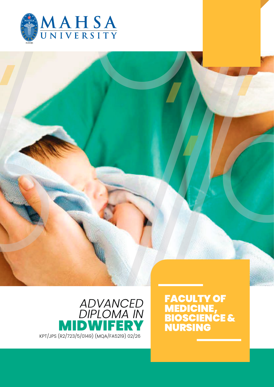



**FACULTY OF** MEDICINE, **BIOSCIENCE &** NURSING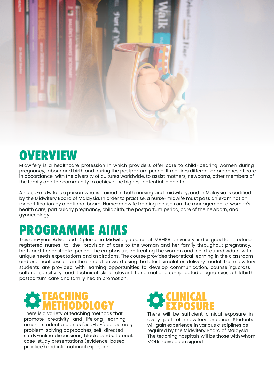

### **OVERVIEW**

Midwifery is a healthcare profession in which providers offer care to child-bearing women during pregnancy, labour and birth and during the postpartum period. It requires different approaches of care in accordance with the diversity of cultures worldwide, to assist mothers, newborns, other members of the family and the community to achieve the highest potential in health.

A nurse-midwife is a person who is trained in both nursing and midwifery, and in Malaysia is certified by the Midwifery Board of Malaysia. In order to practise, a nurse-midwife must pass an examination for certification by a national board. Nurse-midwife training focuses on the management of women's health care, particularly pregnancy, childbirth, the postpartum period, care of the newborn, and gynaecology.

## **PROGRAMME AIMS**

This one-year Advanced Diploma in Midwifery course at MAHSA University isdesigned to introduce registered nurses to the provision of care to the woman and her family throughout pregnancy, birth and the postnatal period. The emphasis is on treating the woman and child as individual with unique needs expectations and aspirations. The course provides theoretical learning in the classroom and practical sessions in the simulation ward using the latest simulation delivery model. The midwifery students are provided with learning opportunities to develop communication, counseling, cross cultural sensitivity, and technical skills relevant to normal and complicated pregnancies , childbirth, postpartum care and family health promotion.

### **TEACHING METHODOLOGY**

There is a variety of teaching methods that promote creativity and lifelong learning among students such as face-to-face lectures, problem-solving approaches, self-directed study-online discussions, blackboards, tutorial, case-study presentations (evidence-based practice) and international exposure.

### **CLINICAL EXPOSURE**

There will be sufficient clinical exposure in every part of midwifery practice. Students will gain experience in various disciplines as required by the Midwifery Board of Malaysia. The teaching hospitals will be those with whom MOUs have been signed.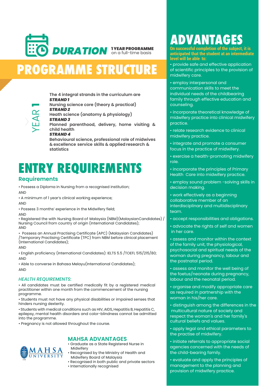

# **PROGRAMME STRUCTURE**

**The 4 integral strands in the curriculum are** *STRAND 1*

**Nursing science core (theory & practical)** *STRAND 2*

**Heath science (anatomy & physiology)** *STRAND 3*

**Planned parenthood, delivery, home visiting & child health** *STRAND 4*

**Behavioural science, professional role of midwives & excellence service skills & appliedresearch & statistics** 

### **ENTRY REQUIREMENTS**

#### **Requirements**

YEAR

**1**

• Possess a Diploma in Nursing from a recognised institution;

AND

• A minimum of 1 year's clinical working experience;

AND

• Possess 3 months' experience in the Midwifery field;

AND

• Registered the with Nursing Board of Malaysia (NBM)(MalaysianCandidates) / Nursing Council from country of origin (International Candidates); AND

• Possess an Annual Practising Certificate (APC) (Malaysian Candidates) /Temporary Practising Certificate (TPC) from NBM before clinical placement (International Candidates);

AND

• English proficiency (International Candidates): IELTS 5.5 /TOEFL 515/215/80; AND

• Able to converse in Bahasa Melayu(International Candidates); AND

#### *HEALTH REQUIREMENTS:*

• All candidates must be certified medically fit by a registered medical practitioner within one month from the commencement of the nursing programme.

• Students must not have any physical disabilities or impaired senses that hinders nursing dexterity.

• Students with medical conditions such as HIV, AIDS, Hepatitis B, Hepatitis C, epilepsy, mental health disorders and color-blindness cannot be admitted into the programme.

• Pregnancy is not allowed throughout the course.

#### **MAHSA ADVANTAGES**

- Graduate as a State Registered Nurse in Midwifery
- Recognised by the Ministry of Health and Midwifery Board of Malaysia
- Recognised in both public and private sectors
- Internationally recognised

## **ADVANTAGES**

**On successful completion of the subject, it is anticipated that the student at an intermediate level will be able to:** 

• provide safe and effective application of scientific principles to the provision of midwifery care.

• employ interpersonal and communication skills to meet the individual needs of the childbearing family through effective education and counseling.

• incorporate theoretical knowledge of midwifery practice into clinical midwifery practice.

- relate research evidence to clinical midwifery practice.
- integrate and promote a consumer focus in the practice of midwifery.
- exercise a health-promoting midwifery role.
- incorporate the principles of Primary Health Care into midwifery practice.
- employ sound problem -solving skills in decision making.
- work effectively as a beginning collaborative member of an interdisciplinary and multidisciplinary team.
- accept responsibilities and obligations.
- advocate the rights of self and women in her care.

• assess and monitor within the context of the family unit, the physiological, psychosocial and spiritual needs of the woman during pregnancy, labour and the postnatal period.

• assess and monitor the well being of the foetus/neonate during pregnancy, labour and the neonatal period.

• organise and modify appropriate care as required in partnership with the woman in his/her care.

• distinguish among the differences in the multicultural nature of society and respect the woman's and her family's cultural beliefs and values.

• apply legal and ethical parameters to the practise of midwifery.

• initiate referrals to appropriate social agencies concerned with the needs of the child-bearing family.

• evaluate and apply the principles of management to the planning and provision of midwifery practice.